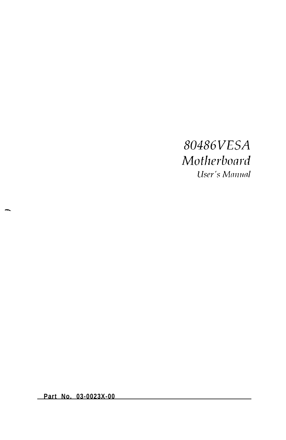### 80486VESA Motherboard User's Manual

**Part No. 03-0023X-00**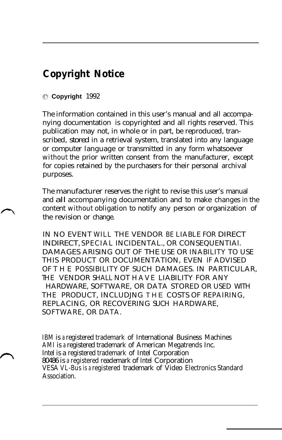### **Copyright Notice**

#### 0 **Copyright** 1992

The information contained in this user's manual and all accompanying documentation is copyrighted and all rights reserved. This publication may not, in whole or in part, be reproduced, transcribed, stored in a retrieval system, translated into any language or computer language or transmitted in any form whatsoever without the prior written consent from the manufacturer, except for copies retained by the purchasers for their personal archival purposes.

The manufacturer reserves the right to revise this user's manual and all accompanying documentation and to make changes in the content without obligation to notify any person or organization of the revision or change.

IN NO EVENT WILL THE VENDOR BE LIABLE FOR DIRECT INDIRECT, SPECIAL INCIDENTAL., OR CONSEQUENTIAl. DAMAGES ARISING OUT OF THE USE OR INABILITY TO USE THIS PRODUCT OR DOCUMENTATION, EVEN IF ADVISED OF THE POSSIBILITY OF SUCH DAMAGES. IN PARTICULAR, THE VENDOR SHALL NOT HAVE LIABILITY FOR ANY HARDWARE, SOFTWARE, OR DATA STORED OR USED WITH THE PRODUCT, INCLUDJNG THE COSTS OF REPAIRING, REPLACING, OR RECOVERING SUCH HARDWARE, SOFTWARE, OR DATA.

IBM is a registered trademark of International Business Machines AMI is a registered trademark of American Megatrends Inc. Intel is a registered trademark of Intel Corporation 80486 is a registered reademark of Intel Corporation VESA VL-Bus is <sup>a</sup> registered trademark of Video Electronics Standard Association.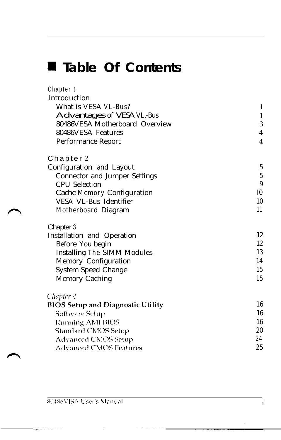## **m Table Of Contents**

Chapter <sup>1</sup>

| Introduction                             |                  |
|------------------------------------------|------------------|
| What is VESA VL-Bus?                     | 1                |
| Advantages of VESA VL-Bus                | $\frac{1}{3}$    |
| 80486VESA Motherboard Overview           |                  |
| 80486VESA Features                       | 4                |
| Performance Report                       | $\overline{4}$   |
| Chapter 2                                |                  |
| Configuration and Layout                 | $\overline{5}$   |
| <b>Connector and Jumper Settings</b>     | $\overline{5}$   |
| <b>CPU</b> Selection                     | $\boldsymbol{9}$ |
| Cache Memory Configuration               | I <sub>0</sub>   |
| VESA VL-Bus Identifier                   | 10               |
| Motherboard Diagram                      | 11               |
| Chapter 3                                |                  |
| Installation and Operation               | 12               |
| Before You begin                         | 12               |
| Installing The SIMM Modules              | 13<br>14         |
| Memory Configuration                     |                  |
| System Speed Change                      | 15               |
| Memory Caching                           | 15               |
| Chapter 4                                |                  |
| <b>BIOS Setup and Diagnostic Utility</b> | 16               |
| Software Setup                           | 16               |
| <b>Running AMI BIOS</b>                  | 16               |
| <b>Standard CMOS Setup</b>               | 20               |
| <b>Advanced CMOS Setup</b>               | 24               |
| <b>Advanced CMOS Features</b>            | 25               |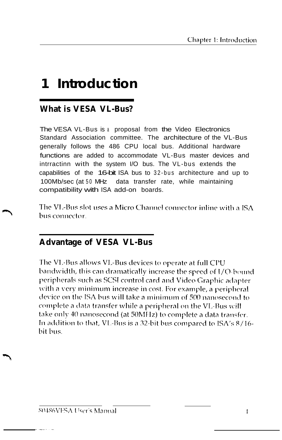### **1 Introduction**

#### **What is VESA VL-Bus?**

The VESA VL-Bus is a proposal from the Video Electronics Standard Association committee. The architecture of the VL-Bus generally follows the 486 CPU local bus. Additional hardware functions are added to accommodate VL-Bus master devices and intrractinn with the system I/O bus. The VL-bus extends the capabilities of the 16-bit ISA bus to 32-bus architecture and up to 100Mb/sec (at 50 MHz data transfer rate, while maintaining compatibility with ISA add-on boards.

The VL-Bus slot uses a Micro Channel connector inline with a ISA bus connector.

#### **Advantage of VESA VL-Bus**

The VL-Bus allows VL-Bus devices to operate at full CPU bandwidth, this can dramatically increase the speed of I/Q-bound peripherals such as SCSI control card and Video Graphic adapter with a very minimum increase in cost. For example, a peripheral device on the ISA bus will take a minimum of 500 nanosecond to complete a data transfer while a peripheral on the VL-Bus will take only 40 nanosecond (at 50MHz) to complete a data transfer. In addition to that, VL-Bus is a 32-bit bus compared to ISA's 8/16bit bus.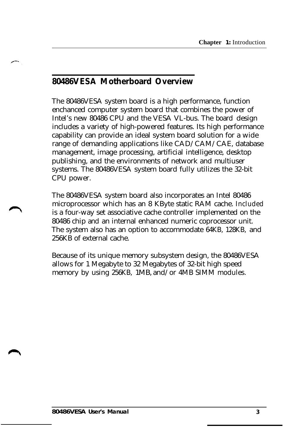#### **80486VESA Motherboard Overview**

The 80486VESA system board is a high performance, function enchanced computer system board that combines the power of Intel's new 80486 CPU and the VESA VL-bus. The board design includes a variety of high-powered features. Its high performance capability can provide an ideal system board solution for a wide range of demanding applications like CAD/CAM/CAE, database management, image processing, artificial intelligence, desktop publishing, and the environments of network and multiuser systems. The 80486VESA system board fully utilizes the 32-bit CPU power.

The 80486VESA system board also incorporates an Intel 80486 microprocessor which has an 8 KByte static RAM cache. Included is a four-way set associative cache controller implemented on the 80486 chip and an internal enhanced numeric coprocessor unit. The system also has an option to accommodate 64KB, 128KB, and 256KB of external cache.

Because of its unique memory subsystem design, the 80486VESA allows for 1 Megabyte to 32 Megabytes of 32-bit high speed memory by using 256KB, 1MB, and/or 4MB SIMM modules.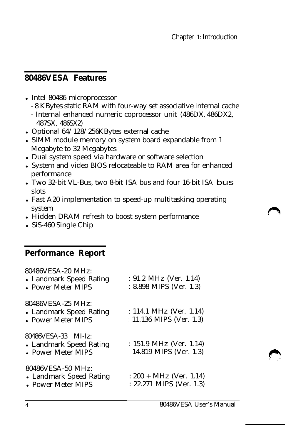#### **80486VESA Features**

- Intel 80486 microprocessor
	- 8 KBytes static RAM with four-way set associative internal cache
	- Internal enhanced numeric coprocessor unit (486DX, 486DX2, 487SX, 486SX2)
- Optional  $64/128/256$ KBytes external cache
- SIMM module memory on system board expandable from 1 Megabyte to 32 Megabytes
- Dual system speed via hardware or software selection
- System and video BIOS relocateable to RAM area for enhanced performance
- Two 32-bit VL-Bus, two 8-bit ISA bus and four 16-bit ISA bus slots
- Fast A20 implementation to speed-up multitasking operating system
- Hidden DRAM refresh to boost system performance
- $\cdot$  SiS-460 Single Chip

#### **Performance Report**

| 80486VESA-20 MHz:<br>• Landmark Speed Rating<br>• Power Meter MIPS   | : $91.2 \text{ MHz (Ver. } 1.14)$<br>: 8.898 MIPS (Ver. 1.3)     |
|----------------------------------------------------------------------|------------------------------------------------------------------|
| 80486VESA-25 MHz:<br>• Landmark Speed Rating<br>• Power Meter MIPS   | : 114.1 MHz (Ver. 1.14)<br>: 11.136 MIPS (Ver. 1.3)              |
| 80486VESA-33 MI-Iz:<br>• Landmark Speed Rating<br>• Power Meter MIPS | : $151.9 \text{ MHz (Ver. } 1.14)$<br>: $14.819$ MIPS (Ver. 1.3) |
| 80486VESA-50 MHz:<br>• Landmark Speed Rating<br>• Power Meter MIPS   | $: 200 + MHz$ (Ver. 1.14)<br>$: 22.271$ MIPS (Ver. 1.3)          |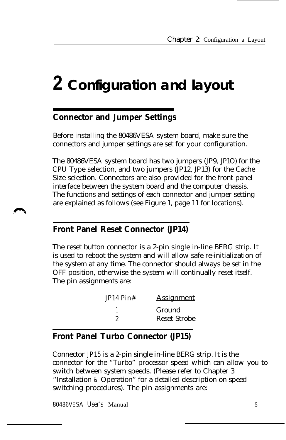# **2 Configuration and layout**

#### **Connector and Jumper Settings**

Before installing the 80486VESA system board, make sure the connectors and jumper settings are set for your configuration.

The 80486VESA system board has two jumpers (JP9, JP1O) for the CPU Type selection, and two jumpers (JP12, JP13) for the Cache Size selection. Connectors are also provided for the front panel interface between the system board and the computer chassis. The functions and settings of each connector and jumper setting are explained as follows (see Figure 1, page 11 for locations).

#### **Front Panel Reset Connector (JP14)**

The reset button connector is a 2-pin single in-line BERG strip. It is used to reboot the system and will allow safe re-initialization of the system at any time. The connector should always be set in the OFF position, otherwise the system will continually reset itself. The pin assignments are:

| <b>Assignment</b> |
|-------------------|
| Ground            |
| Reset Strobe      |
|                   |

#### **Front Panel Turbo Connector (JP15)**

Connector JP15 is a 2-pin single in-line BERG strip. It is the connector for the "Turbo" processor speed which can allow you to switch between system speeds. (Please refer to Chapter 3 "Installation & Operation" for a detailed description on speed switching procedures). The pin assignments are: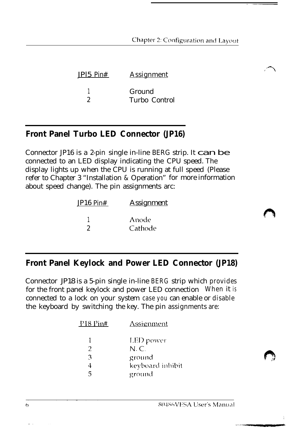Chapter 2: Configuration and Layout

| <u>Assignment</u>       |  |  |
|-------------------------|--|--|
| Ground<br>Turbo Control |  |  |
|                         |  |  |

#### **Front Panel Turbo LED Connector (JP16)**

Connector JP16 is a 2-pin single in-line BERG strip. It  $\bf can be$ connected to an LED display indicating the CPU speed. The display lights up when the CPU is running at full speed (Please refer to Chapter 3 "Installation & Operation" for more information about speed change). The pin assignments arc:

| JP16 Pin# | <b>Assignment</b> |  |  |
|-----------|-------------------|--|--|
|           | Anode             |  |  |
|           | Cathode           |  |  |

#### **Front Panel Keylock and Power LED Connector (JP18)**

Connector JP18 is a 5-pin single in-line BERG strip which provides for the front panel keylock and power LED connection When it is connected to a lock on your system case you can enable or disable the keyboard by switching the key. The pin assignments are:

| LED power<br>Ŧ                     |  |
|------------------------------------|--|
| $N_{\cdot}C_{\cdot}$<br>2          |  |
| ground<br>3                        |  |
| keyboard inhibit<br>4              |  |
| $\overline{\phantom{a}}$<br>ground |  |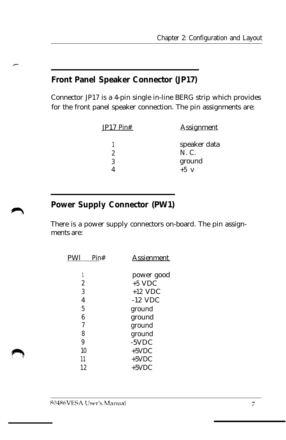#### **Front Panel Speaker Connector (JP17)**

Connector JP17 is a 4-pin single in-line BERG strip which provides for the front panel speaker connection. The pin assignments are:

| JP17 Pin# | <b>Assignment</b>                         |
|-----------|-------------------------------------------|
| 9<br>3    | speaker data<br>N. C.<br>ground<br>$+5$ v |

#### **Power Supply Connector (PW1)**

There is a power supply connectors on-board. The pin assignments are:

| <b>PWI</b>     | Pin# | Assienment |
|----------------|------|------------|
|                |      | power good |
| 2              |      | $+5$ VDC   |
| 3              |      | $+12$ VDC  |
| $\overline{4}$ |      | $-12$ VDC  |
| 5              |      | ground     |
| 6              |      | ground     |
| 7              |      | ground     |
| 8              |      | ground     |
| 9              |      | $-5VDC$    |
| 10             |      | $+5$ VDC   |
| 11             |      | $+5$ VDC   |
| 12             |      | $+5$ VDC   |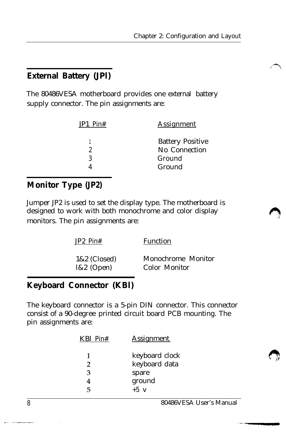#### **External Battery (JPl)**

The 80486VESA motherboard provides one external battery supply connector. The pin assignments are:

| JP1 Pin# | <b>Assignment</b>                                  |  |  |
|----------|----------------------------------------------------|--|--|
| 2<br>3   | <b>Battery Positive</b><br>No Connection<br>Ground |  |  |
|          | Ground                                             |  |  |

#### **Monitor Type (JP2)**

Jumper JP2 is used to set the display type. The motherboard is designed to work with both monochrome and color display monitors. The pin assignments are:

| $JP2 P$ in#  | Function           |
|--------------|--------------------|
| 1&2 (Closed) | Monochrome Monitor |
| $1&2$ (Open) | Color Monitor      |

#### **Keyboard Connector (KBl)**

The keyboard connector is a 5-pin DIN connector. This connector consist of a 90-degree printed circuit board PCB mounting. The pin assignments are:

| <b>Assignment</b> |
|-------------------|
| keyboard clock    |
| keyboard data     |
| spare             |
| ground            |
| $+5$ v            |
|                   |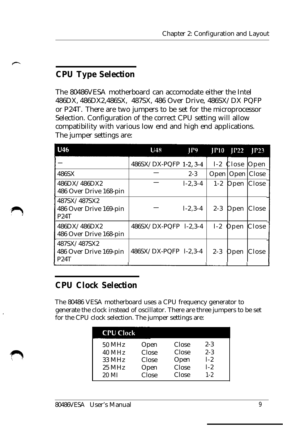### **CPU Type Selection**

The 80486VESA motherboard can accomodate either the Intel 486DX, 486DX2,486SX, 487SX, 486 Over Drive, 486SX/DX PQFP or P24T. There are two jumpers to be set for the microprocessor Selection. Configuration of the correct CPU setting will allow compatibility with various low end and high end applications. The jumper settings are:

| U46                                                   | U48                   | P9            |         | $IP10$ $IP22$ | IP23  |
|-------------------------------------------------------|-----------------------|---------------|---------|---------------|-------|
|                                                       | 486SX/DX-PQFP 1-2.3-4 |               | $1-2$   | Close         | Open  |
| 486SX                                                 |                       | $2 - 3$       | Open    | Open          | Close |
| 486DX/486DX2<br>486 Over Drive 168-pin                |                       | $1 - 2.3 - 4$ | $1 - 2$ | Open          | Close |
| 487SX/487SX2<br>486 Over Drive 169-pin<br><b>P24T</b> |                       | $1 - 2.3 - 4$ | $2 - 3$ | Open          | Close |
| 486DX/486DX2<br>486 Over Drive 168-pin                | 486SX/DX-PQFP 1-2,3-4 |               | $1-2$   | Open          | Close |
| 487SX/487SX2<br>486 Over Drive 169-pin<br>P24T        | 486SX/DX-PQFP 1-2,3-4 |               | $2 - 3$ | Open          | Close |

#### **CPU Clock Selection**

The 80486 VESA motherboard uses a CPU frequency generator to generate the clock instead of oscillator. There are three jumpers to be set for the CPU clock selection. The jumper settings are:

| <b>CPU Clock</b> |       |       |         |
|------------------|-------|-------|---------|
| 50 MHz           | Open  | Close | $2 - 3$ |
| 40 MHz           | Close | Close | $2 - 3$ |
| 33 MHz           | Close | Open  | $1-2.$  |
| $25$ MHz         | Open  | Close | $1-2.$  |
| 20 MI            | Close | Close | $1 - 2$ |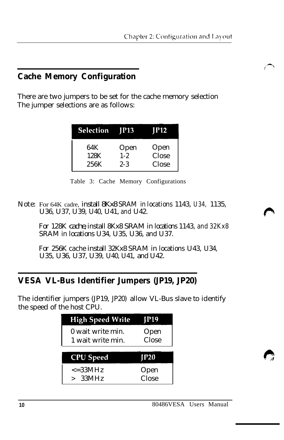#### **Cache Memory Configuration**

There are two jumpers to be set for the cache memory selection The jumper selections are as follows:

| <b>Selection</b> JP13 | IP12    |       |  |  |
|-----------------------|---------|-------|--|--|
| 64K                   | Open    | Open  |  |  |
| 128K                  | $1 - 2$ | Close |  |  |
| 256K                  | $2 - 3$ | Close |  |  |

Table 3: Cache Memory Configurations

*Note:* For 64K cadre, *install 8Kx8 SRAM in locations 1143, U34, 1135, U36, U37, U39, U40, U41, and U42.*

*For 128K cache,install 8Kx8 SRAM in locations 1143, and 32Kx8 SRAM in locations U34, U35, U36, and U37.*

*For 256K cache install 32Kx8 SRAM in locations U43, U34, U35, U36, U37, U39, U40, U41, and U42.*

#### **VESA VL-Bus Identifier Jumpers (JP19, JP20)**

The identifier jumpers (JP19, JP20) allow VL-Bus slave to identify the speed of the host CPU.

| <b>High Speed Write</b>                | IP19          |
|----------------------------------------|---------------|
| 0 wait write min.<br>1 wait write min. | Open<br>Close |
| <b>CPU</b> Speed                       | <b>P20</b>    |
|                                        |               |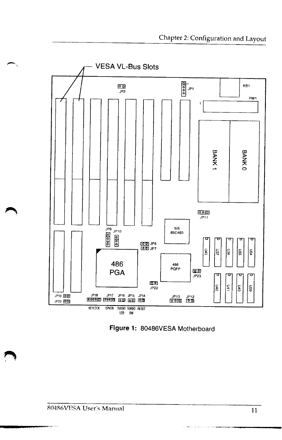

Figure 1: 80486VESA Motherboard

د مدد وبين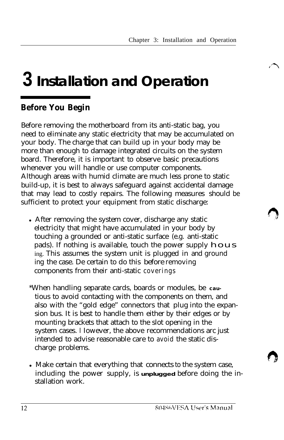# **3 Installation and Operation**

#### **Before You Begin**

Before removing the motherboard from its anti-static bag, you need to eliminate any static electricity that may be accumulated on your body. The charge that can build up in your body may be more than enough to damage integrated circuits on the system board. Therefore, it is important to observe basic precautions whenever you will handle or use computer components. Although areas with humid climate are much less prone to static build-up, it is best to always safeguard against accidental damage that may lead to costly repairs. The following measures should be sufficient to protect your equipment from static discharge:

- After removing the system cover, discharge any static electricity that might have accumulated in your body by touching a grounded or anti-static surface (e.g. anti-static pads). If nothing is available, touch the power supply  $h \, o \, u \, s$ ing. This assumes the system unit is plugged in and ground ing the case. De certain to do this before removing components from their anti-static coverings
- \*When handling separate cards, boards or modules, be **cau**tious to avoid contacting with the components on them, and also with the "gold edge" connectors that plug into the expansion bus. It is best to handle them either by their edges or by mounting brackets that attach to the slot opening in the system cases. I Iowever, the above recommendations arc just intended to advise reasonable care to avoid the static discharge problems.
- Make certain that everything that connects to the system case, including the power supply, is **unplugged** before doing the installation work.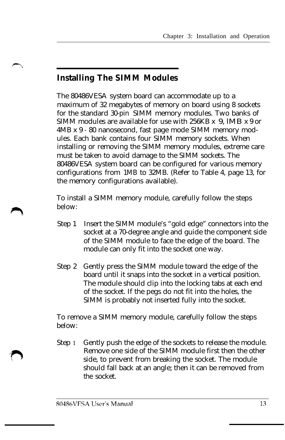#### **Installing The SIMM Modules**

The 80486VESA system board can accommodate up to a maximum of 32 megabytes of memory on board using 8 sockets for the standard 30-pin SIMM memory modules. Two banks of SIMM modules are available for use with 256KB x 9, lMB x 9 or 4MB x 9 - 80 nanosecond, fast page mode SIMM memory modules. Each bank contains four SIMM memory sockets. When installing or removing the SIMM memory modules, extreme care must be taken to avoid damage to the SIMM sockets. The 80486VESA system board can be configured for various memory configurations from 1MB to 32MB. (Refer to Table 4, page 13, for the memory configurations available).

To install a SIMM memory module, carefully follow the steps below:

- Step 1 Insert the SIMM module's "gold edge" connectors into the socket at a 70-degree angle and guide the component side of the SIMM module to face the edge of the board. The module can only fit into the socket one way.
- Step 2 Gently press the SIMM module toward the edge of the board until it snaps into the socket in a vertical position. The module should clip into the locking tabs at each end of the socket. If the pegs do not fit into the holes, the SIMM is probably not inserted fully into the socket.

To remove a SIMM memory module, carefully follow the steps below:

Step 1 Gently push the edge of the sockets to release the module. Remove one side of the SIMM module first then the other side, to prevent from breaking the socket. The module should fall back at an angle; then it can be removed from the socket.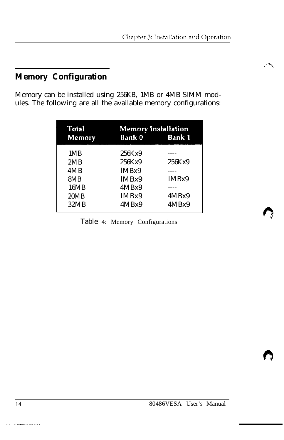#### **Memory Configuration**

Memory can be installed using 256KB, 1MB or 4MB SIMM modules. The following are all the available memory configurations:

| Total<br><b>Memory</b> | <b>Memory Installation</b><br><b>Bank 0</b><br><b>Bank 1</b> |        |  |  |
|------------------------|--------------------------------------------------------------|--------|--|--|
| 1MB                    | 256Kx9                                                       |        |  |  |
| 2MB                    | 256Kx9                                                       | 256Kx9 |  |  |
| 4MB                    | IMBx9                                                        |        |  |  |
| 8MB                    | IMBx9                                                        | IMBx9  |  |  |
| 16MB                   | 4MBx9                                                        |        |  |  |
| 20MB                   | IMBx9                                                        | 4MBx9  |  |  |
| 32MB                   | 4MBx9                                                        | 4MBx9  |  |  |

Table 4: Memory Configurations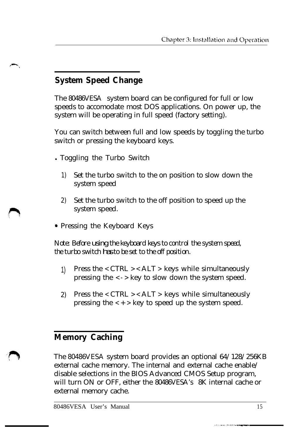### **System Speed Change**

The 80486VESA system board can be configured for full or low speeds to accomodate most DOS applications. On power up, the system will be operating in full speed (factory setting).

You can switch between full and low speeds by toggling the turbo switch or pressing the keyboard keys.

- Toggling the Turbo Switch
	- 1) Set the turbo switch to the on position to slow down the system speed
	- 2) Set the turbo switch to the off position to speed up the system speed.
- Pressing the Keyboard Keys

*Note: Before using the keyboard keys to control the system speed, the turbo switch hasto be set to the off position.*

- 1) Press the  $\langle$  CTRL  $\rangle$  < ALT  $\rangle$  keys while simultaneously pressing the < - > key to slow down the system speed.
- 2) Press the  $\langle$  CTRL  $\rangle$  < ALT  $\rangle$  keys while simultaneously pressing the  $\langle + \rangle$  key to speed up the system speed.

#### **Memory Caching**

The 80486VESA system board provides an optional 64/128/256KB external cache memory. The internal and external cache enable/ disable selections in the BIOS Advanced CMOS Setup program, will turn ON or OFF, either the 80486VESA's 8K internal cache or external memory cache.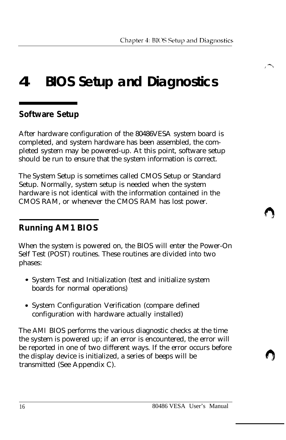## **4 BIOS Setup and Diagnostics**

#### **Software Setup**

After hardware configuration of the 80486VESA system board is completed, and system hardware has been assembled, the completed system may be powered-up. At this point, software setup should be run to ensure that the system information is correct.

The System Setup is sometimes called CMOS Setup or Standard Setup. Normally, system setup is needed when the system hardware is not identical with the information contained in the CMOS RAM, or whenever the CMOS RAM has lost power.

#### **Running AM1 BIOS**

When the system is powered on, the BIOS will enter the Power-On Self Test (POST) routines. These routines are divided into two phases:

- System Test and Initialization (test and initialize system boards for normal operations)
- System Configuration Verification (compare defined configuration with hardware actually installed)

The AMI BIOS performs the various diagnostic checks at the time the system is powered up; if an error is encountered, the error will be reported in one of two different ways. If the error occurs before the display device is initialized, a series of beeps will be transmitted (See Appendix C).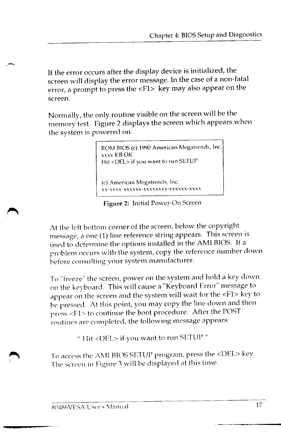If the error occurs after the display device is initialized, the screen will display the error message. In the case of a non-fatal error, a prompt to press the <F1> key may also appear on the screen.

Normally, the only routine visible on the screen will be the memory test. Figure 2 displays the screen which appears when the system is powered on.

> ROM BIOS (c) 1990 American Megatrends, Inc. **xxxx KBOK** Hit <DEL> if you want to run SETUP (c) American Megatrends, Inc. xxxx-xxxxxx-xxxxxxxx-xxxxxx-xxxx

Figure 2: Initial Power-On Screen

At the left bottom corner of the screen, below the copyright message, a one (1) line reference string appears. This screen is used to determine the options installed in the AMI BIOS. If a problem occurs with the system, copy the reference number down before consulting your system manufacturer.

To "freeze" the screen, power on the system and hold a key down on the keyboard. This will cause a "Keyboard Error" message to appear on the screen and the system will wait for the <F1> key to be pressed. At this point, you may copy the line down and then press <F1> to continue the boot procedure. After the POST routines are completed, the following message appears:

" Hit <DEL> if you want to run SETUP "

To access the AMI BIOS SETUP program, press the <DEL> key. The screen in Figure 3 will be displayed at this time.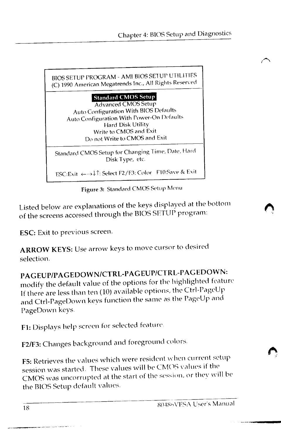

Figure 3: Standard CMOS Setup Menu

Listed below are explanations of the keys displayed at the bottom of the screens accessed through the BIOS SETUP program:

ESC: Exit to previous screen.

ARROW KEYS: Use arrow keys to move cursor to desired selection.

PAGEUP/PAGEDOWN/CTRL-PAGEUP/CTRL-PAGEDOWN: modify the default value of the options for the highlighted feature If there are less than ten (10) available options, the Ctrl-PageUp and Ctrl-PageDown keys function the same as the PageUp and PageDown keys.

F1: Displays help screen for selected feature.

F2/F3: Changes background and foreground colors.

F5: Retrieves the values which were resident when current setup session was started. These values will be CMOS values if the CMOS was uncorrupted at the start of the session, or they will be the BIOS Setup default values.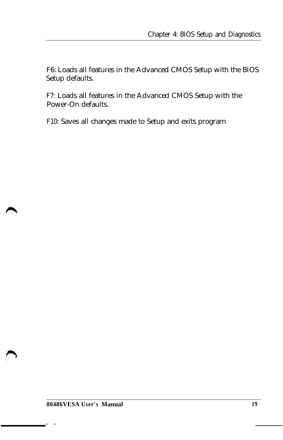F6: Loads all features in the Advanced CMOS Setup with the BIOS Setup defaults.

F7: Loads all features in the Advanced CMOS Setup with the Power-On defaults.

F10: Saves all changes made to Setup and exits program

**- -**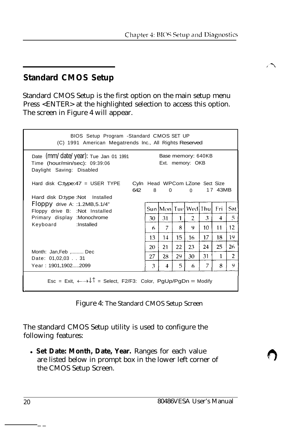#### **Standard CMOS Setup**

Standard CMOS Setup is the first option on the main setup menu Press <ENTER> at the highlighted selection to access this option. The screen in Figure 4 will appear.

| BIOS Setup Program - Standard CMOS SET UP<br>(C) 1991 American Megatrends Inc., All Rights Reserved                                          |     |    |       |    |                                 |    |         |                |
|----------------------------------------------------------------------------------------------------------------------------------------------|-----|----|-------|----|---------------------------------|----|---------|----------------|
| Date (mm/date/year): Tue Jan 01 1991<br>Base memory: 640KB<br>Time (hour/min/sec): 09:39:06<br>Ext. memory: OKB<br>Daylight Saving: Disabled |     |    |       |    |                                 |    |         |                |
| Hard disk C:type: $47 = \text{USER}$ TYPE<br>Hard disk D:type :Not Installed                                                                 | 642 |    | 8 0 0 |    | Cyln Head WPCom LZone Sect Size |    | 17 43MB |                |
| Floppy drive A: :1.2MB,5.1/4"<br>Floppy drive B: : Not Installed                                                                             |     |    |       |    | Sun Mon Tue Wed Thu             |    | Fri     | Sat            |
| Primary display : Monochrome                                                                                                                 |     | 30 | 31    | 1  | $\overline{2}$                  | 3  | 4       | 5.             |
| Keyboard : Installed                                                                                                                         |     | 6  | 7     | 8  | 9                               | 10 | 11      | 12             |
|                                                                                                                                              |     | 13 | 14    | 15 | 16.                             | 17 | 18      | 19             |
|                                                                                                                                              |     | 20 | 21    | 22 | 23                              | 24 | 25      | 26             |
| Month: Jan, Feb , Dec<br>Date: 01,02,03 31                                                                                                   |     | 27 | 28    | 29 | 30                              | 31 | 1       | $\overline{2}$ |
| Year: 1901,19022099                                                                                                                          |     | 3  | 4     | 5  | 6                               | 7  | 8       | 9              |
| Esc = Exit, $\leftarrow \rightarrow \downarrow \uparrow$ = Select, F2/F3: Color, PgUp/PgDn = Modify                                          |     |    |       |    |                                 |    |         |                |

Figure 4: The Standard CMOS Setup Screen

The standard CMOS Setup utility is used to configure the following features:

**· Set Date: Month, Date, Year.** Ranges for each value are listed below in prompt box in the lower left corner of the CMOS Setup Screen.

 $\overline{a}$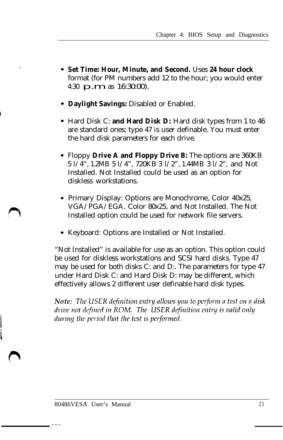- **Set Time: Hour, Minute, and Second.** Uses **24 hour clock** format (for PM numbers add 12 to the hour; you would enter 4:30  $\mathbf{p}.\mathbf{m}$  as 16:30:00).
- **Daylight Savings:** Disabled or Enabled.
- Hard Disk C: **and Hard Disk D:** Hard disk types from 1 to 46 are standard ones; type 47 is user definable. You must enter the hard disk parameters for each drive.
- Floppy **Drive A and Floppy Drive B:** The options are 360KB 5 l/4", 1.2MB 5 l/4", 720KB 3 l/2", 1.44MB 3 l/2", and Not Installed. Not Installed could be used as an option for diskless workstations.
- Primary Display: Options are Monochrome, Color 40x25, VGA/PGA/EGA. Color 80x25, and Not Installed. The Not Installed option could be used for network file servers.
- Keyboard: Options are Installed or Not Installed.

"Not Installed" is available for use as an option. This option could be used for diskless workstations and SCSI hard disks. Type 47 may be used for both disks C: and D:. The parameters for type 47 under Hard Disk C: and Hard Disk D: may be different, which effectively allows 2 different user definable hard disk types.

Note: The USER definition entry allows you to perform a test on a disk drive not defined in ROM. The USER definition entry is valid only during the period that the test is performed.

---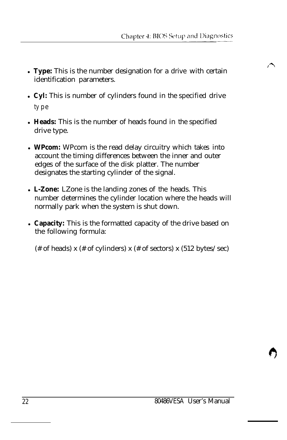- Type: This is the number designation for a drive with certain identification parameters.
- <sup>l</sup>**Cyl:** This is number of cylinders found in the specified drive ty p e
- Heads: This is the number of heads found in the specified drive type.
- **WPcom:** WPcom is the read delay circuitry which takes into account the timing differences between the inner and outer edges of the surface of the disk platter. The number designates the starting cylinder of the signal.
- <sup>l</sup>**L-Zone:** LZone is the landing zones of the heads. This number determines the cylinder location where the heads will normally park when the system is shut down.
- **Capacity:** This is the formatted capacity of the drive based on the following formula:

(# of heads) x (# of cylinders) x (# of sectors) x (512 bytes/sec)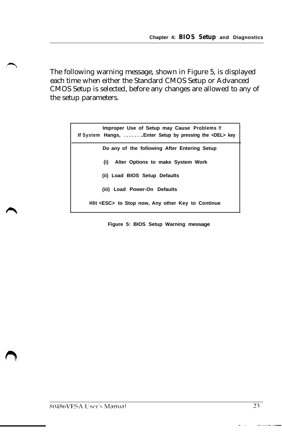The following warning message, shown in Figure 5, is displayed each time when either the Standard CMOS Setup or Advanced CMOS Setup is selected, before any changes are allowed to any of the setup parameters.

| Improper Use of Setup may Cause Problems !!<br>If System Hangs,  Enter Setup by pressing the <del> key</del> |
|--------------------------------------------------------------------------------------------------------------|
| Do any of the following After Entering Setup                                                                 |
| Alter Options to make System Work<br>(i)                                                                     |
| (ii) Load BIOS Setup Defaults                                                                                |
| (iii) Load Power-On Defaults                                                                                 |
| Hiit <esc> to Stop now, Any other Key to Continue</esc>                                                      |

**Figure 5: BIOS Setup Warning message**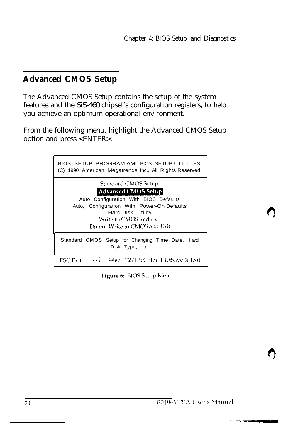#### **Advanced CMOS Setup**

The Advanced CMOS Setup contains the setup of the system features and the SiS-460 chipset's configuration registers, to help you achieve an optimum operational environment.

From the following menu, highlight the Advanced CMOS Setup option and press <ENTER>:



Figure 6: BIOS Setup Menu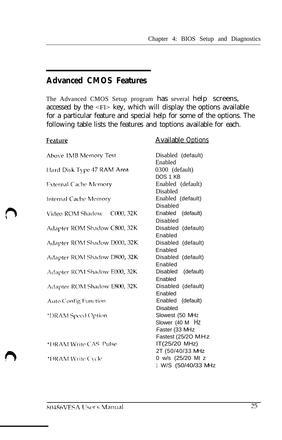#### **Advanced CMOS Features**

The Advanced CMOS Setup program has several help screens, accessed by the  $\langle$ Fl $>$  key, which will display the options available for a particular feature and special help for some of the options. The following table lists the features and toptions available for each.

| Feature                      | <b>Available Options</b>                                |
|------------------------------|---------------------------------------------------------|
| Above 1MB Memory Test        | Disabled (default)<br>Enabled                           |
| Hard Disk Type 47 RAM Area   | 0300 (default)                                          |
| <b>External Cache Memory</b> | DOS 1 KB<br>Enabled (default)<br><b>Disabled</b>        |
| Internal Cache Memory        | Enabled (default)<br>Disabled                           |
| Video ROM Shadow - C000, 32K | Enabled (default)<br>Disabled                           |
| Adapter ROM Shadow C800, 32K | Disabled (default)<br>Enabled                           |
| Adapter ROM Shadow D000, 32K | Disabled (default)<br>Enabled                           |
| Adapter ROM Shadow D800, 32K | Disabled (default)<br>Enabled                           |
| Adapter ROM Shadow E000, 32K | Disabled (default)<br>Enabled                           |
| Adapter ROM Shadow E800, 32K | Disabled (default)<br>Enabled                           |
| Auto Config Function         | Enabled<br>(default)<br><b>Disabled</b>                 |
| *DRAM Speed Option           | Slowest (50 MHz<br>Slower (40 M Hz<br>Faster (33 MHz    |
| *DRAM Write CAS-Pulse        | Fastest (25/20 MHz<br>IT(25/20 MHz)<br>2T (50/40/33 MHz |
| *DRAM Write Cycle            | 0 w/s (25/20 MI z<br>1 W/S (50/40/33 MHz                |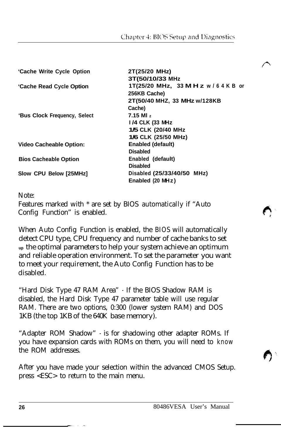| 'Cache Write Cycle Option      | 2T(25/20 MHz)                         |
|--------------------------------|---------------------------------------|
|                                | 3T(50/10/33 MHz                       |
| 'Cache Read Cycle Option       | 1T(25/20 MHz, 33 M H z $w/6$ 4 K B or |
|                                | 256KB Cache)                          |
|                                | 2T(50/40 MHZ, 33 MHz w/128KB          |
|                                | Cache)                                |
| 'Bus Clock Frequency, Select   | 7.15 MI $z$                           |
|                                | 1/4 CLK (33 MHz                       |
|                                | 1/5 CLK (20/40 MHz)                   |
|                                | 1/6 CLK (25/50 MHz)                   |
| <b>Video Cacheable Option:</b> | Enabled (default)                     |
|                                | <b>Disabled</b>                       |
| <b>Bios Cacheable Option</b>   | Enabled (default)                     |
|                                | <b>Disabled</b>                       |
| Slow CPU Below [25MHz]         | Disabled (25/33/40/50 MHz)            |
|                                | Enabled (20 MHz)                      |
|                                |                                       |

Note:

Features marked with \* are set by BIOS automatically if "Auto Config Function" is enabled.

When Auto Config Function is enabled, the BIOS will automatically detect CPU type, CPU frequency and number of cache banks to set **up** the optimal parameters to help your system achieve an optimum and reliable operation environment. To set the parameter you want to meet your requirement, the Auto Config Function has to be disabled.

"Hard Disk Type 47 RAM Area" - If the BIOS Shadow RAM is disabled, the Hard Disk Type 47 parameter table will use regular RAM. There are two options, 0:300 (lower system RAM) and DOS 1KB (the top 1KB of the 640K base memory).

"Adapter ROM Shadow" - is for shadowing other adapter ROMs. If you have expansion cards with ROMs on them, you will need to know the ROM addresses.

After you have made your selection within the advanced CMOS Setup. press <ESC> to return to the main menu.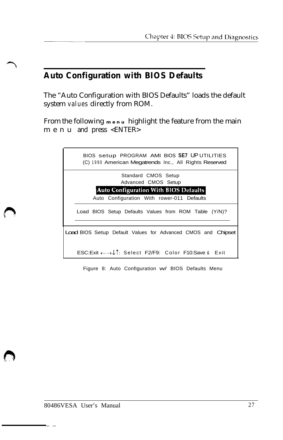#### **Auto Configuration with BIOS Defaults**

The "Auto Configuration with BIOS Defaults" loads the default system values directly from ROM.

From the following **menu** highlight the feature from the main menu and press <ENTER>

| BIOS setup PROGRAM AMI BIOS SE7 UP UTILITIES<br>(C) 1990 American Megatrends Inc., All Rights Reserved |
|--------------------------------------------------------------------------------------------------------|
| Standard CMOS Setup                                                                                    |
| Advanced CMOS Setup                                                                                    |
| <b>Auto Configuration With BIOS Defaults</b>                                                           |
| Auto Configuration With rower-011 Defaults                                                             |
| Load BIOS Setup Defaults Values from ROM Table (Y/N)?                                                  |
| <b>Load BIOS Setup Default Values for Advanced CMOS and Chipset</b>                                    |
| ESC:Exit ← →↓↑: Select F2/F9: Color F10:Save & Exit                                                    |

Figure 8: Auto Configuration w/ BIOS Defaults Menu

 $\overline{a}$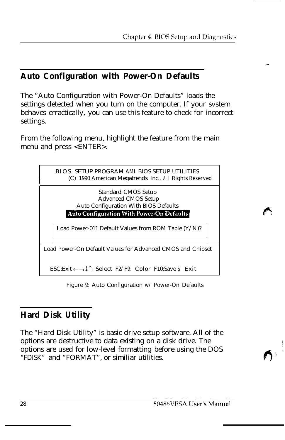#### **Auto Configuration with Power-On Defaults**

The "Auto Configuration with Power-On Defaults" loads the settings detected when you turn on the computer. If your svstem behaves erractically, you can use this feature to check for incorrect settings.

From the following menu, highlight the feature from the main menu and press <ENTER>.



Figure 9: Auto Configuration w/ Power-On Defaults

#### **Hard Disk Utility**

The "Hard Disk Utility" is basic drive setup software. All of the options are destructive to data existing on a disk drive. The options are used for low-level formatting before using the DOS "FDISK" and "FORMAT", or similiar utilities.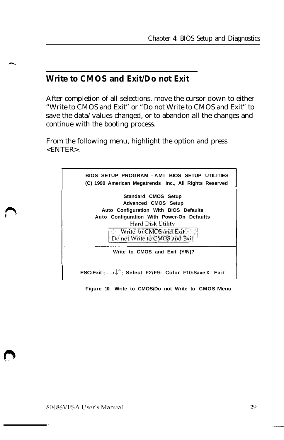#### **Write to CMOS and Exit/Do not Exit**

After completion of all selections, move the cursor down to either "Write to CMOS and Exit" or "Do not Write to CMOS and Exit" to save the data/values changed, or to abandon all the changes and continue with the booting process.

From the following menu, highlight the option and press <ENTER>.



**Figure 10: Write to CMOS/Do not Write to CMOS Menu**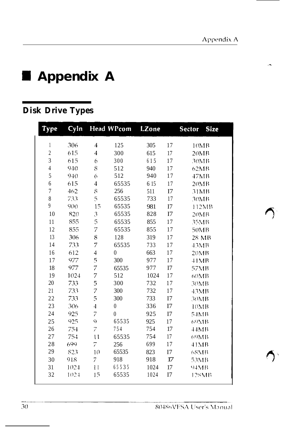# **4 Appendix A**

### **Disk Drive Types**

| Type           | Cyln |                                                                         | <b>Head WPcom</b> | <b>LZone</b> |    | <b>Size</b><br><b>Sector</b> |  |
|----------------|------|-------------------------------------------------------------------------|-------------------|--------------|----|------------------------------|--|
| $\mathbf{1}$   | 306  | 4                                                                       | 125               | 305          | 17 | 10MB                         |  |
| $\sqrt{2}$     | 615  | $\overline{4}$                                                          | 300               | 615          | 17 | 20MB                         |  |
| 3              | 615  | 6                                                                       | 300               | 615          | 17 | 30MB                         |  |
| $\overline{4}$ | 940  | S                                                                       | 512               | 940          | 17 | 62MB                         |  |
| 5              | 940  | 6                                                                       | 512               | 940          | 17 | 47MB                         |  |
| 6              | 615  | 4                                                                       | 65535             | 6 15         | 17 | 20MB                         |  |
| $\overline{7}$ | 462  | $\mathcal{S}% _{M_{1},M_{2}}^{\alpha,\beta,\gamma,\gamma}(\varepsilon)$ | 256               | 511          | I7 | 31MB                         |  |
| 8              | 733  | 5                                                                       | 65535             | 733          | 17 | 30MB                         |  |
| $\overline{9}$ | 900  | 15                                                                      | 65535             | 981          | I7 | 112MB                        |  |
| 10             | 820  | 3                                                                       | 65535             | 828          | I7 | 20MB                         |  |
| 11             | 855  | 5                                                                       | 65535             | 855          | 17 | 35MB                         |  |
| 12             | 855  | 7                                                                       | 65535             | 855          | 17 | 50MB                         |  |
| 13             | 306  | 8                                                                       | 128               | 319          | 17 | 28 MB                        |  |
| 14             | 733  | 7                                                                       | 65535             | 733          | 17 | 43MB                         |  |
| 16             | 612  | 4                                                                       | $\theta$          | 663          | 17 | 20MB                         |  |
| 17             | 977  | 5                                                                       | 300               | 977          | 17 | 41MB                         |  |
| 18             | 977  | 7                                                                       | 65535             | 977          | I7 | 57MB                         |  |
| 19             | 1024 | 7                                                                       | 512               | 1024         | 17 | 60MB                         |  |
| 20             | 733  | 5                                                                       | 300               | 732          | 17 | 30MB                         |  |
| 21             | 733  | 7                                                                       | 300               | 732          | 17 | 43MB                         |  |
| 22             | 733  | 5                                                                       | 300               | 733          | I7 | 30MB                         |  |
| 23             | 306  | $\overline{4}$                                                          | $\mathbf{0}$      | 336          | I7 | 10MB                         |  |
| 24             | 925  | 7                                                                       | $\theta$          | 925          | I7 | 54MB                         |  |
| 25             | 925  | Q,                                                                      | 65535             | 925          | 17 | 69MB                         |  |
| 26             | 754  | 7                                                                       | 754               | 754          | 17 | 44MB                         |  |
| 27             | 754  | $\mathfrak{1}$                                                          | 65535             | 754          | 17 | 69MB                         |  |
| 28             | 699  | 7                                                                       | 256               | 699          | 17 | 41MB                         |  |
| 29             | 823  | 10                                                                      | 65535             | 823          | I7 | 68MB                         |  |
| 30             | 918  | 7                                                                       | 918               | 918          | 17 | 53MB                         |  |
| 31             | 1024 | 11                                                                      | 65535             | 1024         | 17 | 94MB                         |  |
| 32             | 1024 | 15                                                                      | 65535             | 1024         | I7 | 128MB                        |  |

80486VESA User's Manual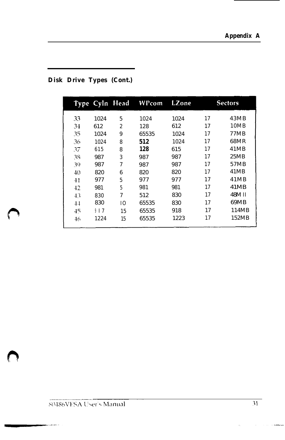|         | Type Cyln Head  |                | WPcom | LZone |    | <b>Sectors</b> |
|---------|-----------------|----------------|-------|-------|----|----------------|
| 33      | 1024            | 5              | 1024  | 1024  | 17 | 43MB           |
| 34      | 612             | $\overline{2}$ | 128   | 612   | 17 | 10MB           |
| 35      | 1024            | 9              | 65535 | 1024  | 17 | 77MB           |
| 36      | 1024            | 8              | 512   | 1024  | 17 | 68MR           |
| 37      | 615             | 8              | 128   | 615   | 17 | 41MB           |
| 38      | 987             | 3              | 987   | 987   | 17 | 25MB           |
| 39      | 987             | $\overline{7}$ | 987   | 987   | 17 | 57MB           |
| 4()     | 820             | 6              | 820   | 820   | 17 | 41MB           |
| 41      | 977             | 5              | 977   | 977   | 17 | 41MB           |
| 42      | 981             | 5              | 981   | 981   | 17 | 41MB           |
| 43      | 830             | $\overline{7}$ | 512   | 830   | 17 | 48M II         |
| $^{44}$ | 830             | I0             | 65535 | 830   | 17 | 69MB           |
| 45      | 9 <sub>17</sub> | 15             | 65535 | 918   | 17 | 114MB          |
| 46      | 1224            | 15             | 65535 | 1223  | 17 | 152MB          |

#### **Disk Drive Types (Cont.)**

an<br>Tanah Sulawan<br>Tanah Sulawan

 $\sim$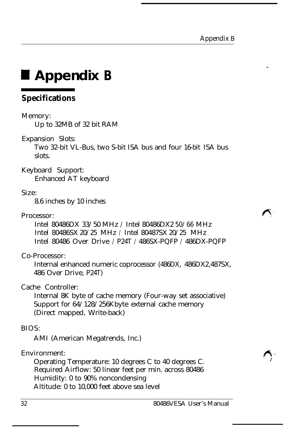# **I Appendix B**

#### **Specifications**

#### Memory:

Up to 32MB of 32 bit RAM

Expansion Slots:

Two 32-bit VL-Bus, two S-bit ISA bus and four 16-bit ISA bus slots.

Keyboard Support: Enhanced AT keyboard

#### Size:

8.6 inches by 10 inches

#### Processor:

Intel 80486DX 33/50 MHz / Intel 80486DX2 50/66 MHz Intel 80486SX 20/25 MHz / Intel 80487SX 20/25 MHz Intel 80486 Over Drive / P24T / 486SX-PQFP / 486DX-PQFP

#### Co-Processor:

Internal enhanced numeric coprocessor (486DX, 486DX2,487SX, 486 Over Drive, P24T)

#### Cache Controller:

Internal 8K byte of cache memory (Four-way set associative) Support for 64/128/256Kbyte external cache memory (Direct mapped, Write-back)

#### BIOS:

AMI (American Megatrends, Inc.)

#### Environment:

Operating Temperature: 10 degrees C to 40 degrees C. Required Airflow: 50 linear feet per min. across 80486 Humidity: 0 to 90% noncondensing Altitude: 0 to 10,000 feet above sea level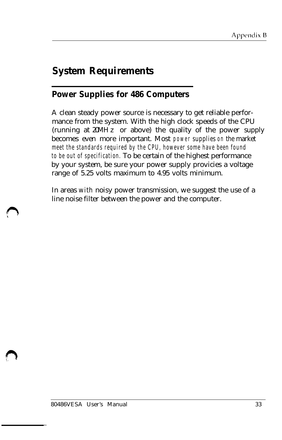### **System Requirements**

#### **Power Supplies for 486 Computers**

A clean steady power source is necessary to get reliable performance from the system. With the high clock speeds of the CPU (running at 20MH z or above) the quality of the power supply becomes even more important. Most power supplies on the market meet the standards required by the CPU, however some have been found to be out of specification. To be certain of the highest performance by your system, be sure your power supply provicies a voltage range of 5.25 volts maximum to 4.95 volts minimum.

In areas with noisy power transmission, we suggest the use of a line noise filter between the power and the computer.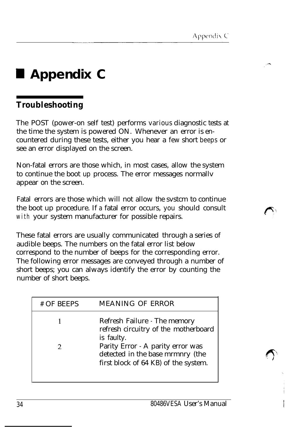## **H Appendix C**

#### **Troubleshooting**

The POST (power-on self test) performs various diagnostic tests at the time the system is powered ON. Whenever an error is encountered during these tests, either you hear a few short beeps or see an error displayed on the screen.

Non-fatal errors are those which, in most cases, allow the system to continue the boot up process. The error messages normallv appear on the screen.

Fatal errors are those which will not allow the svstcm to continue the boot up procedure. If a fatal error occurs, you should consult with your system manufacturer for possible repairs.

These fatal errors are usually communicated through a series of audible beeps. The numbers on the fatal error list below correspond to the number of beeps for the corresponding error. The following error messages are conveyed through a number of short beeps; you can always identify the error by counting the number of short beeps.

| # OF BEEPS | MEANING OF ERROR                                                                                              |
|------------|---------------------------------------------------------------------------------------------------------------|
|            | Refresh Failure - The memory<br>refresh circuitry of the motherboard<br>is faulty.                            |
|            | Parity Error - A parity error was<br>detected in the base mrmnry (the<br>first block of 64 KB) of the system. |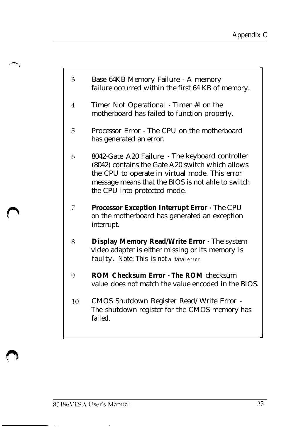- 3 Base 64KB Memory Failure - A memory failure occurred within the first 64 KB of memory.
- $\overline{4}$ Timer Not Operational - Timer #l on the motherboard has failed to function properly.
- 5 Processor Error - The CPU on the motherboard has generated an error.
- 8042-Gate A20 Failure The keyboard controller 6 (8042) contains the Gate A20 switch which allows the CPU to operate in virtual mode. This error message means that the BIOS is not ahle to switch the CPU into protected mode.
- 7 **Processor Exception Interrupt Error -** The CPU on the motherboard has generated an exception interrupt.
- **Display Memory Read/Write Error -** The system 8 video adapter is either missing or its memory is faulty. Note: This is not a fatal error.
- **ROM Checksum Error - The ROM** checksum 9 value does not match the value encoded in the BIOS.
- CMOS Shutdown Register Read/Write Error 10 The shutdown register for the CMOS memory has failed.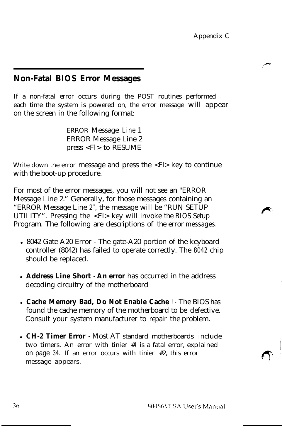#### **Non-Fatal BIOS Error Messages**

If a non-fatal error occurs during the POST routines performed each time the system is powered on, the error message will appear on the screen in the following format:

> ERROR Message Line 1 ERROR Message Line 2 press <Fl> to RESUME

Write down the error message and press the <Fl> key to continue with the boot-up procedure.

For most of the error messages, you will not see an "ERROR Message Line 2." Generally, for those messages containing an "ERROR Message Line 2", the message will be "RUN SETUP UTILITY". Pressing the <Fl> key will invoke the BIOS Setup Program. The following are descriptions of the error messages.

- 8042 Gate A20 Error The gate-A20 portion of the keyboard controller (8042) has failed to operate correctly. The 8042 chip should be replaced.
- **Address Line Short An error** has occurred in the address decoding circuitry of the motherboard
- <sup>l</sup>**Cache Memory Bad, Do Not Enable Cache** ! The BIOS has found the cache memory of the motherboard to be defective. Consult your system manufacturer to repair the problem.
- <sup>l</sup>**CH-2 Timer Error -** Most AT standard motherboards include two timers. An error with tinier #l is a fatal error, explained on page 34. If an error occurs with tinier #2, this error message appears.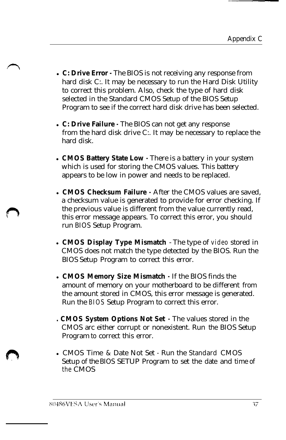- <sup>l</sup>**C: Drive Error -** The BIOS is not receiving any response from hard disk C:. It may be necessary to run the Hard Disk Utility to correct this problem. Also, check the type of hard disk selected in the Standard CMOS Setup of the BIOS Setup Program to see if the correct hard disk drive has been selected.
- <sup>l</sup>**C: Drive Failure -** The BIOS can not get any response from the hard disk drive C:. It may be necessary to replace the hard disk.
- **. CMOS Battery State Low** There is a battery in your system which is used for storing the CMOS values. This battery appears to be low in power and needs to be replaced.
- **CMOS Checksum Failure** After the CMOS values are saved a checksum value is generated to provide for error checking. If the previous value is different from the value currently read, this error message appears. To correct this error, you should run BIOS Setup Program.
- **CMOS Display Type Mismatch** The type of video stored in CMOS does not match the type detected by the BIOS. Run the BIOS Setup Program to correct this error.
- **. CMOS Memory Size Mismatch**  $\cdot$  If the BIOS finds the amount of memory on your motherboard to be different from the amount stored in CMOS, this error message is generated. Run the BIOS Setup Program to correct this error.
- **. CMOS System Options Not Set -** The values stored in the CMOS arc either corrupt or nonexistent. Run the BIOS Setup Program to correct this error.
- CMOS Time & Date Not Set Run the Standard CMOS Setup of the BIOS SETUP Program to set the date and time of the CMOS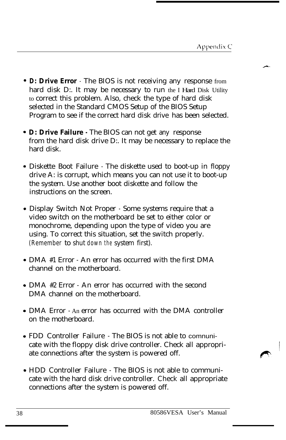- **D: Drive Error**  The BIOS is not receiving any response from hard disk D:. It may be necessary to run the I Hard Disk Utility to correct this problem. Also, check the type of hard disk selected in the Standard CMOS Setup of the BIOS Setup Program to see if the correct hard disk drive has been selected.
- **D: Drive Failure -** The BIOS can not get any response from the hard disk drive D:. It may be necessary to replace the hard disk.
- Diskette Boot Failure The diskette used to boot-up in floppy drive A: is corrupt, which means you can not use it to boot-up the system. Use another boot diskette and follow the instructions on the screen.
- Display Switch Not Proper Some systems require that a video switch on the motherboard be set to either color or monochrome, depending upon the type of video you are using. To correct this situation, set the switch properly. (Remember to shut down the system first).
- DMA #1 Error An error has occurred with the first DMA channel on the motherboard.
- DMA #2 Error An error has occurred with the second DMA channel on the motherboard.
- DMA Error An error has occurred with the DMA controller on the motherboard.
- FDD Controller Failure The BIOS is not able to comnunicate with the floppy disk drive controller. Check all appropriate connections after the system is powered off.
- HDD Controller Failure The BIOS is not able to communicate with the hard disk drive controller. Check all appropriate connections after the system is powered off.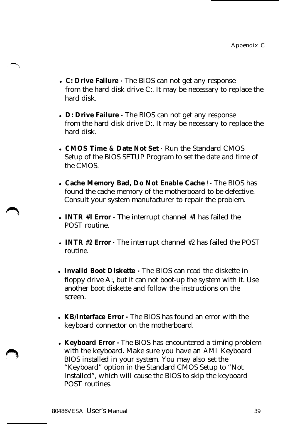- <sup>l</sup>**C: Drive Failure -** The BIOS can not get any response from the hard disk drive C:. It may be necessary to replace the hard disk.
- **. D: Drive Failure**  $\cdot$  The BIOS can not get any response from the hard disk drive D:. It may be necessary to replace the hard disk.
- **. CMOS Time & Date Not Set Run the Standard CMOS** Setup of the BIOS SETUP Program to set the date and time of the CMOS.
- **. Cache Memory Bad, Do Not Enable Cache !** The BIOS has found the cache memory of the motherboard to be defective. Consult your system manufacturer to repair the problem.
- <sup>l</sup>**INTR #l Error -** The interrupt channel #l has failed the POST routine.
- <sup>l</sup>**INTR #2 Error -** The interrupt channel #2 has failed the POST routine.
- **Invalid Boot Diskette** The BIOS can read the diskette in floppy drive A:, but it can not boot-up the system with it. Use another boot diskette and follow the instructions on the screen.
- **KB/Interface Error** The BIOS has found an error with the keyboard connector on the motherboard.
- **Keyboard Error** · The BIOS has encountered a timing problem with the keyboard. Make sure you have an AMI Keyboard BIOS installed in your system. You may also set the "Keyboard" option in the Standard CMOS Setup to "Not Installed", which will cause the BIOS to skip the keyboard POST routines.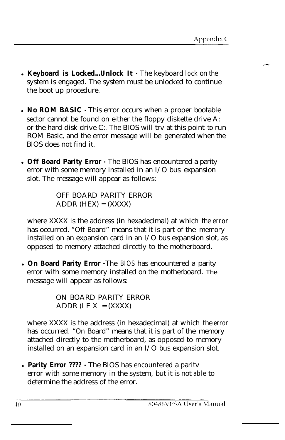- **. Keyboard is Locked...Unlock It** The keyboard lock on the system is engaged. The system must be unlocked to continue the boot up procedure.
- **No ROM BASIC** This error occurs when a proper bootable sector cannot be found on either the floppy diskette drive A: or the hard disk drive C:. The BIOS will trv at this point to run ROM Basic, and the error message will be generated when the BIOS does not find it.
- **Off Board Parity Error** · The BIOS has encountered a parity error with some memory installed in an I/O bus expansion slot. The message will appear as follows:

OFF BOARD PARITY ERROR  $ADDR$  (HEX) =  $(XXXX)$ 

where XXXX is the address (in hexadecimal) at which the error has occurred. "Off Board" means that it is part of the memory installed on an expansion card in an I/O bus expansion slot, as opposed to memory attached directly to the motherboard.

**• On Board Parity Error** -The BIOS has encountered a parity error with some memory installed on the motherboard. The message will appear as follows:

> ON BOARD PARITY ERROR ADDR (I E  $X = (XXXX)$

where XXXX is the address (in hexadecimal) at which the error has occurred. "On Board" means that it is part of the memory attached directly to the motherboard, as opposed to memory installed on an expansion card in an I/O bus expansion slot.

**Parity Error ????** - The BIOS has encountered a parity error with some memory in the system, but it is not able to determine the address of the error.